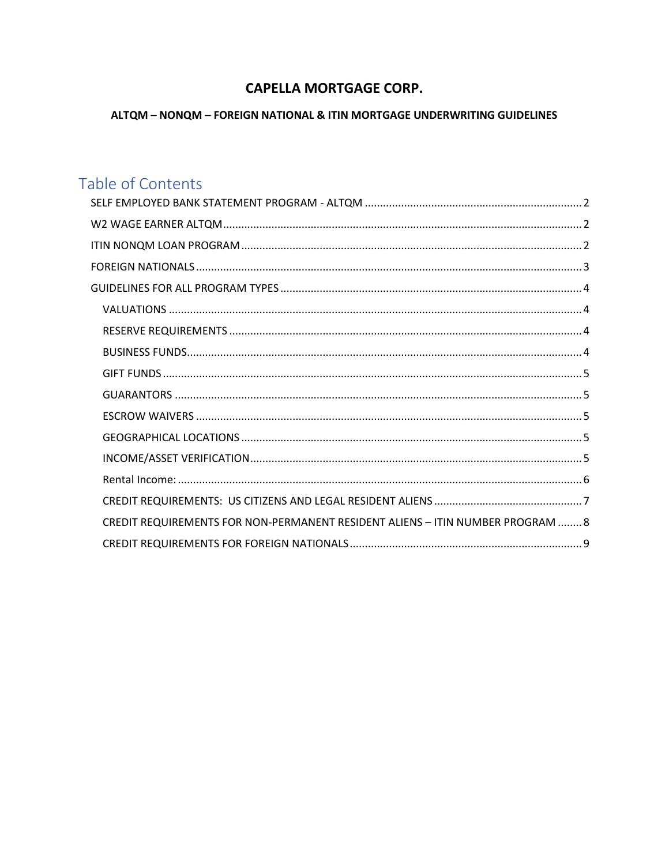## **CAPELLA MORTGAGE CORP.**

## ALTQM - NONQM - FOREIGN NATIONAL & ITIN MORTGAGE UNDERWRITING GUIDELINES

# Table of Contents

| CREDIT REQUIREMENTS FOR NON-PERMANENT RESIDENT ALIENS - ITIN NUMBER PROGRAM  8 |  |
|--------------------------------------------------------------------------------|--|
|                                                                                |  |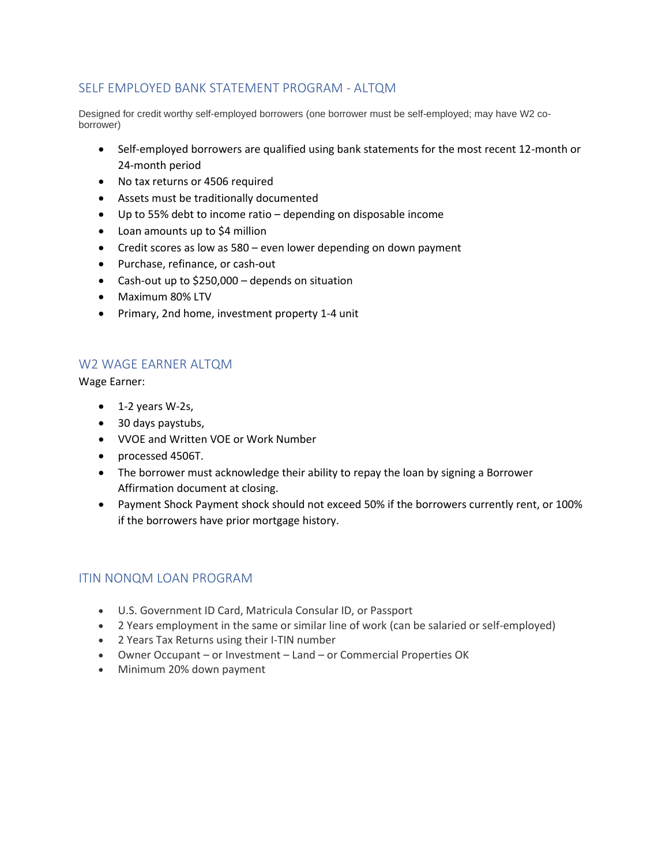## <span id="page-1-0"></span>SELF EMPLOYED BANK STATEMENT PROGRAM - ALTQM

Designed for credit worthy self-employed borrowers (one borrower must be self-employed; may have W2 coborrower)

- Self-employed borrowers are qualified using bank statements for the most recent 12-month or 24-month period
- No tax returns or 4506 required
- Assets must be traditionally documented
- Up to 55% debt to income ratio depending on disposable income
- Loan amounts up to \$4 million
- Credit scores as low as 580 even lower depending on down payment
- Purchase, refinance, or cash-out
- Cash-out up to \$250,000 depends on situation
- Maximum 80% LTV
- Primary, 2nd home, investment property 1-4 unit

## <span id="page-1-1"></span>W2 WAGE EARNER ALTQM

Wage Earner:

- $\bullet$  1-2 years W-2s,
- 30 days paystubs,
- VVOE and Written VOE or Work Number
- processed 4506T.
- The borrower must acknowledge their ability to repay the loan by signing a Borrower Affirmation document at closing.
- Payment Shock Payment shock should not exceed 50% if the borrowers currently rent, or 100% if the borrowers have prior mortgage history.

## <span id="page-1-2"></span>ITIN NONQM LOAN PROGRAM

- U.S. Government ID Card, Matricula Consular ID, or Passport
- 2 Years employment in the same or similar line of work (can be salaried or self-employed)
- 2 Years Tax Returns using their I-TIN number
- Owner Occupant or Investment Land or Commercial Properties OK
- Minimum 20% down payment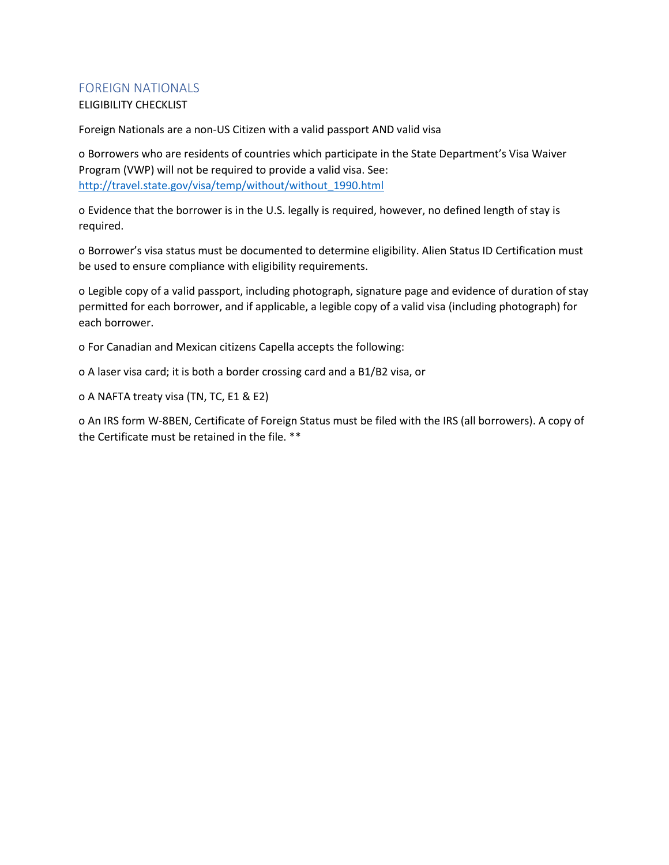## <span id="page-2-0"></span>FOREIGN NATIONALS

## ELIGIBILITY CHECKLIST

Foreign Nationals are a non-US Citizen with a valid passport AND valid visa

o Borrowers who are residents of countries which participate in the State Department's Visa Waiver Program (VWP) will not be required to provide a valid visa. See: [http://travel.state.gov/visa/temp/without/without\\_1990.html](http://travel.state.gov/visa/temp/without/without_1990.html)

o Evidence that the borrower is in the U.S. legally is required, however, no defined length of stay is required.

o Borrower's visa status must be documented to determine eligibility. Alien Status ID Certification must be used to ensure compliance with eligibility requirements.

o Legible copy of a valid passport, including photograph, signature page and evidence of duration of stay permitted for each borrower, and if applicable, a legible copy of a valid visa (including photograph) for each borrower.

o For Canadian and Mexican citizens Capella accepts the following:

o A laser visa card; it is both a border crossing card and a B1/B2 visa, or

o A NAFTA treaty visa (TN, TC, E1 & E2)

o An IRS form W-8BEN, Certificate of Foreign Status must be filed with the IRS (all borrowers). A copy of the Certificate must be retained in the file. \*\*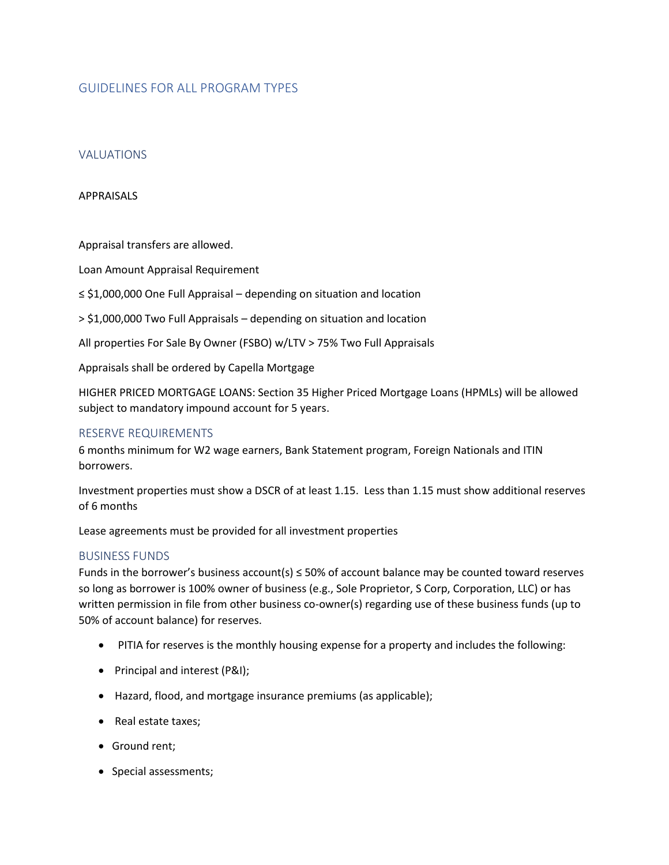## <span id="page-3-0"></span>GUIDELINES FOR ALL PROGRAM TYPES

#### <span id="page-3-1"></span>VALUATIONS

#### APPRAISALS

Appraisal transfers are allowed.

Loan Amount Appraisal Requirement

≤ \$1,000,000 One Full Appraisal – depending on situation and location

> \$1,000,000 Two Full Appraisals – depending on situation and location

All properties For Sale By Owner (FSBO) w/LTV > 75% Two Full Appraisals

Appraisals shall be ordered by Capella Mortgage

HIGHER PRICED MORTGAGE LOANS: Section 35 Higher Priced Mortgage Loans (HPMLs) will be allowed subject to mandatory impound account for 5 years.

#### <span id="page-3-2"></span>RESERVE REQUIREMENTS

6 months minimum for W2 wage earners, Bank Statement program, Foreign Nationals and ITIN borrowers.

Investment properties must show a DSCR of at least 1.15. Less than 1.15 must show additional reserves of 6 months

Lease agreements must be provided for all investment properties

#### <span id="page-3-3"></span>BUSINESS FUNDS

Funds in the borrower's business account(s)  $\leq$  50% of account balance may be counted toward reserves so long as borrower is 100% owner of business (e.g., Sole Proprietor, S Corp, Corporation, LLC) or has written permission in file from other business co-owner(s) regarding use of these business funds (up to 50% of account balance) for reserves.

- PITIA for reserves is the monthly housing expense for a property and includes the following:
- Principal and interest (P&I);
- Hazard, flood, and mortgage insurance premiums (as applicable);
- Real estate taxes;
- Ground rent;
- Special assessments;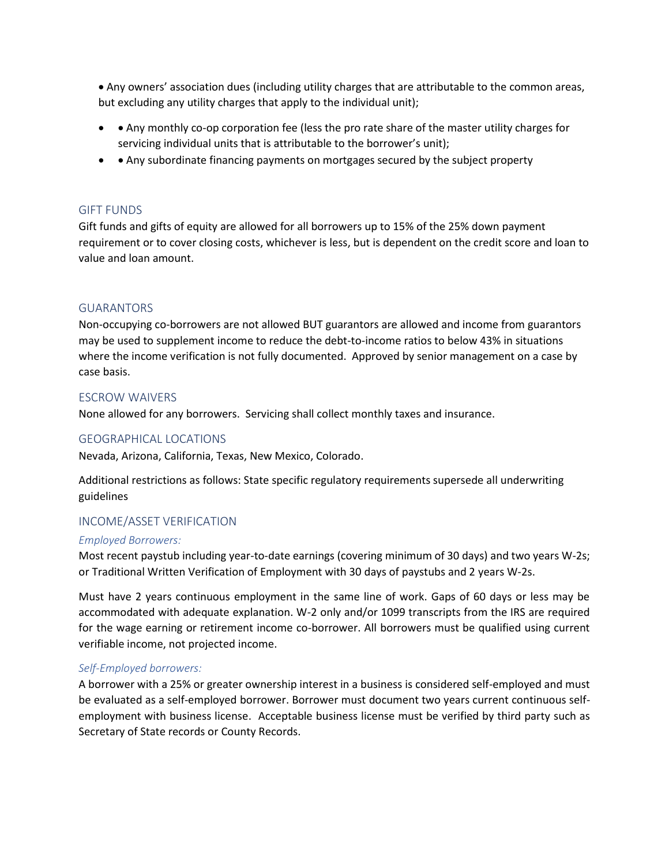• Any owners' association dues (including utility charges that are attributable to the common areas, but excluding any utility charges that apply to the individual unit);

- • Any monthly co-op corporation fee (less the pro rate share of the master utility charges for servicing individual units that is attributable to the borrower's unit);
- • Any subordinate financing payments on mortgages secured by the subject property

#### <span id="page-4-0"></span>GIFT FUNDS

Gift funds and gifts of equity are allowed for all borrowers up to 15% of the 25% down payment requirement or to cover closing costs, whichever is less, but is dependent on the credit score and loan to value and loan amount.

#### <span id="page-4-1"></span>GUARANTORS

Non-occupying co-borrowers are not allowed BUT guarantors are allowed and income from guarantors may be used to supplement income to reduce the debt-to-income ratios to below 43% in situations where the income verification is not fully documented. Approved by senior management on a case by case basis.

#### <span id="page-4-2"></span>ESCROW WAIVERS

None allowed for any borrowers. Servicing shall collect monthly taxes and insurance.

#### <span id="page-4-3"></span>GEOGRAPHICAL LOCATIONS

Nevada, Arizona, California, Texas, New Mexico, Colorado.

Additional restrictions as follows: State specific regulatory requirements supersede all underwriting guidelines

#### <span id="page-4-4"></span>INCOME/ASSET VERIFICATION

#### *Employed Borrowers:*

Most recent paystub including year-to-date earnings (covering minimum of 30 days) and two years W-2s; or Traditional Written Verification of Employment with 30 days of paystubs and 2 years W-2s.

Must have 2 years continuous employment in the same line of work. Gaps of 60 days or less may be accommodated with adequate explanation. W-2 only and/or 1099 transcripts from the IRS are required for the wage earning or retirement income co-borrower. All borrowers must be qualified using current verifiable income, not projected income.

#### *Self-Employed borrowers:*

A borrower with a 25% or greater ownership interest in a business is considered self-employed and must be evaluated as a self-employed borrower. Borrower must document two years current continuous selfemployment with business license. Acceptable business license must be verified by third party such as Secretary of State records or County Records.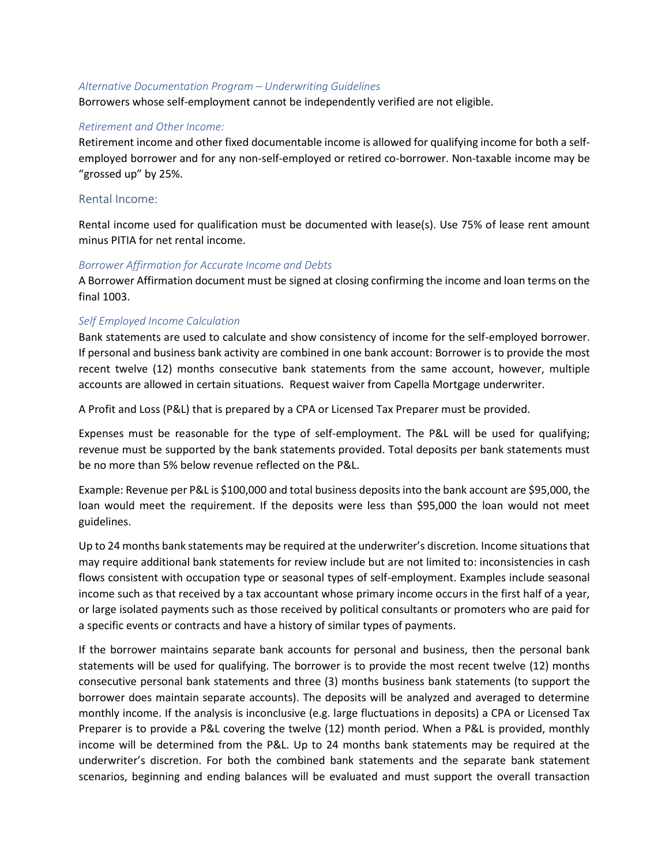#### *Alternative Documentation Program – Underwriting Guidelines*

Borrowers whose self-employment cannot be independently verified are not eligible.

#### *Retirement and Other Income:*

Retirement income and other fixed documentable income is allowed for qualifying income for both a selfemployed borrower and for any non-self-employed or retired co-borrower. Non-taxable income may be "grossed up" by 25%.

#### <span id="page-5-0"></span>Rental Income:

Rental income used for qualification must be documented with lease(s). Use 75% of lease rent amount minus PITIA for net rental income.

#### *Borrower Affirmation for Accurate Income and Debts*

A Borrower Affirmation document must be signed at closing confirming the income and loan terms on the final 1003.

#### *Self Employed Income Calculation*

Bank statements are used to calculate and show consistency of income for the self-employed borrower. If personal and business bank activity are combined in one bank account: Borrower is to provide the most recent twelve (12) months consecutive bank statements from the same account, however, multiple accounts are allowed in certain situations. Request waiver from Capella Mortgage underwriter.

A Profit and Loss (P&L) that is prepared by a CPA or Licensed Tax Preparer must be provided.

Expenses must be reasonable for the type of self-employment. The P&L will be used for qualifying; revenue must be supported by the bank statements provided. Total deposits per bank statements must be no more than 5% below revenue reflected on the P&L.

Example: Revenue per P&L is \$100,000 and total business deposits into the bank account are \$95,000, the loan would meet the requirement. If the deposits were less than \$95,000 the loan would not meet guidelines.

Up to 24 months bank statements may be required at the underwriter's discretion. Income situations that may require additional bank statements for review include but are not limited to: inconsistencies in cash flows consistent with occupation type or seasonal types of self-employment. Examples include seasonal income such as that received by a tax accountant whose primary income occurs in the first half of a year, or large isolated payments such as those received by political consultants or promoters who are paid for a specific events or contracts and have a history of similar types of payments.

If the borrower maintains separate bank accounts for personal and business, then the personal bank statements will be used for qualifying. The borrower is to provide the most recent twelve (12) months consecutive personal bank statements and three (3) months business bank statements (to support the borrower does maintain separate accounts). The deposits will be analyzed and averaged to determine monthly income. If the analysis is inconclusive (e.g. large fluctuations in deposits) a CPA or Licensed Tax Preparer is to provide a P&L covering the twelve (12) month period. When a P&L is provided, monthly income will be determined from the P&L. Up to 24 months bank statements may be required at the underwriter's discretion. For both the combined bank statements and the separate bank statement scenarios, beginning and ending balances will be evaluated and must support the overall transaction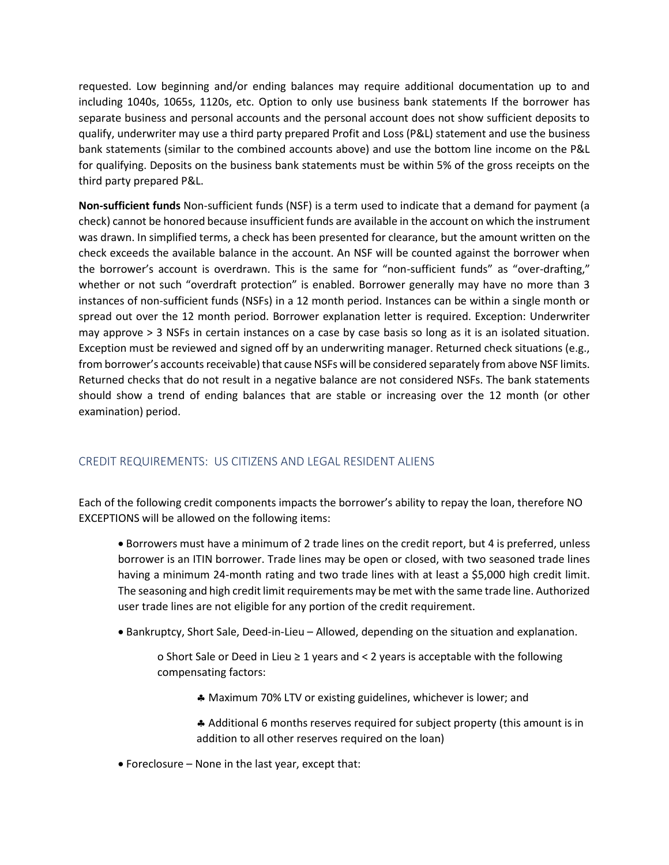requested. Low beginning and/or ending balances may require additional documentation up to and including 1040s, 1065s, 1120s, etc. Option to only use business bank statements If the borrower has separate business and personal accounts and the personal account does not show sufficient deposits to qualify, underwriter may use a third party prepared Profit and Loss (P&L) statement and use the business bank statements (similar to the combined accounts above) and use the bottom line income on the P&L for qualifying. Deposits on the business bank statements must be within 5% of the gross receipts on the third party prepared P&L.

**Non-sufficient funds** Non-sufficient funds (NSF) is a term used to indicate that a demand for payment (a check) cannot be honored because insufficient funds are available in the account on which the instrument was drawn. In simplified terms, a check has been presented for clearance, but the amount written on the check exceeds the available balance in the account. An NSF will be counted against the borrower when the borrower's account is overdrawn. This is the same for "non-sufficient funds" as "over-drafting," whether or not such "overdraft protection" is enabled. Borrower generally may have no more than 3 instances of non-sufficient funds (NSFs) in a 12 month period. Instances can be within a single month or spread out over the 12 month period. Borrower explanation letter is required. Exception: Underwriter may approve > 3 NSFs in certain instances on a case by case basis so long as it is an isolated situation. Exception must be reviewed and signed off by an underwriting manager. Returned check situations (e.g., from borrower's accounts receivable) that cause NSFs will be considered separately from above NSF limits. Returned checks that do not result in a negative balance are not considered NSFs. The bank statements should show a trend of ending balances that are stable or increasing over the 12 month (or other examination) period.

## <span id="page-6-0"></span>CREDIT REQUIREMENTS: US CITIZENS AND LEGAL RESIDENT ALIENS

Each of the following credit components impacts the borrower's ability to repay the loan, therefore NO EXCEPTIONS will be allowed on the following items:

• Borrowers must have a minimum of 2 trade lines on the credit report, but 4 is preferred, unless borrower is an ITIN borrower. Trade lines may be open or closed, with two seasoned trade lines having a minimum 24-month rating and two trade lines with at least a \$5,000 high credit limit. The seasoning and high credit limit requirements may be met with the same trade line. Authorized user trade lines are not eligible for any portion of the credit requirement.

• Bankruptcy, Short Sale, Deed-in-Lieu – Allowed, depending on the situation and explanation.

o Short Sale or Deed in Lieu ≥ 1 years and < 2 years is acceptable with the following compensating factors:

Maximum 70% LTV or existing guidelines, whichever is lower; and

 Additional 6 months reserves required for subject property (this amount is in addition to all other reserves required on the loan)

• Foreclosure – None in the last year, except that: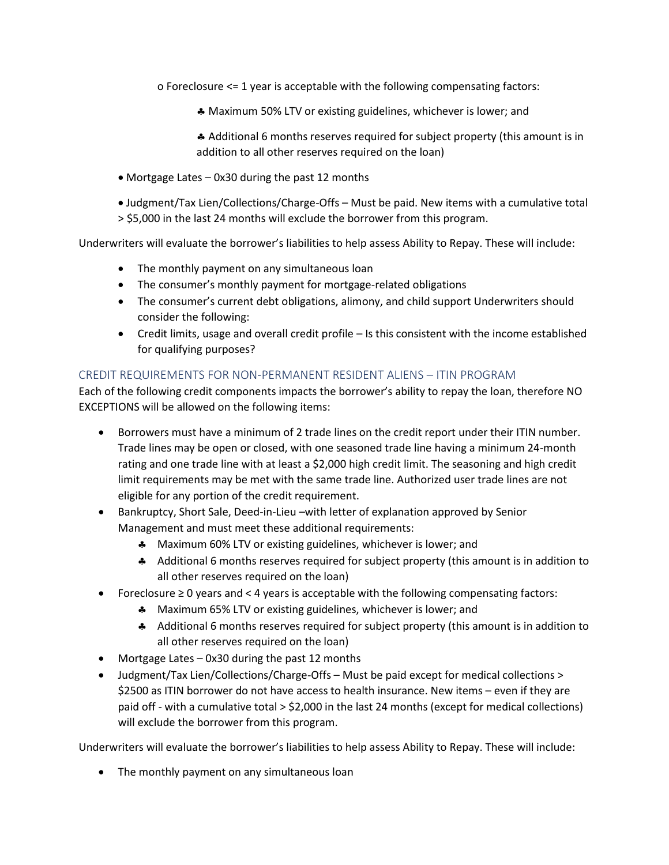o Foreclosure <= 1 year is acceptable with the following compensating factors:

Maximum 50% LTV or existing guidelines, whichever is lower; and

 Additional 6 months reserves required for subject property (this amount is in addition to all other reserves required on the loan)

- Mortgage Lates 0x30 during the past 12 months
- Judgment/Tax Lien/Collections/Charge-Offs Must be paid. New items with a cumulative total > \$5,000 in the last 24 months will exclude the borrower from this program.

Underwriters will evaluate the borrower's liabilities to help assess Ability to Repay. These will include:

- The monthly payment on any simultaneous loan
- The consumer's monthly payment for mortgage-related obligations
- The consumer's current debt obligations, alimony, and child support Underwriters should consider the following:
- Credit limits, usage and overall credit profile Is this consistent with the income established for qualifying purposes?

## <span id="page-7-0"></span>CREDIT REQUIREMENTS FOR NON-PERMANENT RESIDENT ALIENS – ITIN PROGRAM

Each of the following credit components impacts the borrower's ability to repay the loan, therefore NO EXCEPTIONS will be allowed on the following items:

- Borrowers must have a minimum of 2 trade lines on the credit report under their ITIN number. Trade lines may be open or closed, with one seasoned trade line having a minimum 24-month rating and one trade line with at least a \$2,000 high credit limit. The seasoning and high credit limit requirements may be met with the same trade line. Authorized user trade lines are not eligible for any portion of the credit requirement.
- Bankruptcy, Short Sale, Deed-in-Lieu –with letter of explanation approved by Senior Management and must meet these additional requirements:
	- **A** Maximum 60% LTV or existing guidelines, whichever is lower; and
	- Additional 6 months reserves required for subject property (this amount is in addition to all other reserves required on the loan)
- Foreclosure ≥ 0 years and < 4 years is acceptable with the following compensating factors:
	- **A** Maximum 65% LTV or existing guidelines, whichever is lower; and
	- Additional 6 months reserves required for subject property (this amount is in addition to all other reserves required on the loan)
- Mortgage Lates 0x30 during the past 12 months
- Judgment/Tax Lien/Collections/Charge-Offs Must be paid except for medical collections > \$2500 as ITIN borrower do not have access to health insurance. New items – even if they are paid off - with a cumulative total > \$2,000 in the last 24 months (except for medical collections) will exclude the borrower from this program.

Underwriters will evaluate the borrower's liabilities to help assess Ability to Repay. These will include:

• The monthly payment on any simultaneous loan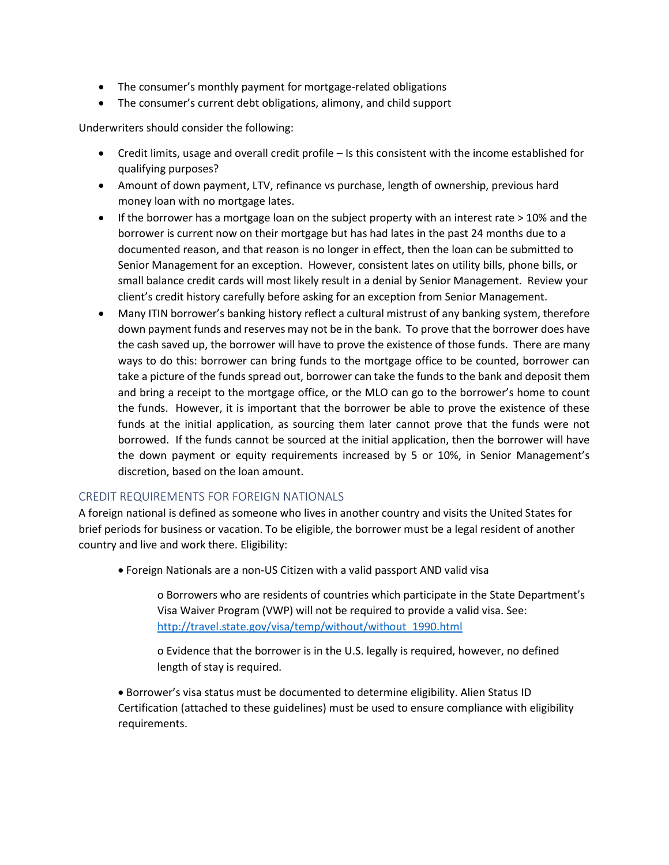- The consumer's monthly payment for mortgage-related obligations
- The consumer's current debt obligations, alimony, and child support

Underwriters should consider the following:

- Credit limits, usage and overall credit profile Is this consistent with the income established for qualifying purposes?
- Amount of down payment, LTV, refinance vs purchase, length of ownership, previous hard money loan with no mortgage lates.
- $\bullet$  If the borrower has a mortgage loan on the subject property with an interest rate  $> 10\%$  and the borrower is current now on their mortgage but has had lates in the past 24 months due to a documented reason, and that reason is no longer in effect, then the loan can be submitted to Senior Management for an exception. However, consistent lates on utility bills, phone bills, or small balance credit cards will most likely result in a denial by Senior Management. Review your client's credit history carefully before asking for an exception from Senior Management.
- Many ITIN borrower's banking history reflect a cultural mistrust of any banking system, therefore down payment funds and reserves may not be in the bank. To prove that the borrower does have the cash saved up, the borrower will have to prove the existence of those funds. There are many ways to do this: borrower can bring funds to the mortgage office to be counted, borrower can take a picture of the funds spread out, borrower can take the funds to the bank and deposit them and bring a receipt to the mortgage office, or the MLO can go to the borrower's home to count the funds. However, it is important that the borrower be able to prove the existence of these funds at the initial application, as sourcing them later cannot prove that the funds were not borrowed. If the funds cannot be sourced at the initial application, then the borrower will have the down payment or equity requirements increased by 5 or 10%, in Senior Management's discretion, based on the loan amount.

#### <span id="page-8-0"></span>CREDIT REQUIREMENTS FOR FOREIGN NATIONALS

A foreign national is defined as someone who lives in another country and visits the United States for brief periods for business or vacation. To be eligible, the borrower must be a legal resident of another country and live and work there. Eligibility:

• Foreign Nationals are a non-US Citizen with a valid passport AND valid visa

o Borrowers who are residents of countries which participate in the State Department's Visa Waiver Program (VWP) will not be required to provide a valid visa. See: [http://travel.state.gov/visa/temp/without/without\\_1990.html](http://travel.state.gov/visa/temp/without/without_1990.html)

o Evidence that the borrower is in the U.S. legally is required, however, no defined length of stay is required.

• Borrower's visa status must be documented to determine eligibility. Alien Status ID Certification (attached to these guidelines) must be used to ensure compliance with eligibility requirements.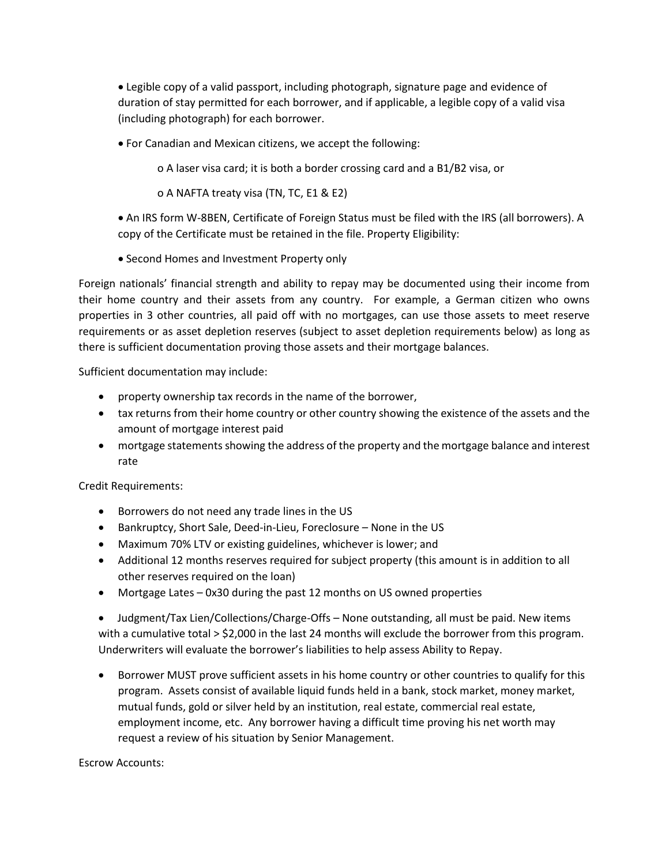• Legible copy of a valid passport, including photograph, signature page and evidence of duration of stay permitted for each borrower, and if applicable, a legible copy of a valid visa (including photograph) for each borrower.

• For Canadian and Mexican citizens, we accept the following:

o A laser visa card; it is both a border crossing card and a B1/B2 visa, or

o A NAFTA treaty visa (TN, TC, E1 & E2)

• An IRS form W-8BEN, Certificate of Foreign Status must be filed with the IRS (all borrowers). A copy of the Certificate must be retained in the file. Property Eligibility:

• Second Homes and Investment Property only

Foreign nationals' financial strength and ability to repay may be documented using their income from their home country and their assets from any country. For example, a German citizen who owns properties in 3 other countries, all paid off with no mortgages, can use those assets to meet reserve requirements or as asset depletion reserves (subject to asset depletion requirements below) as long as there is sufficient documentation proving those assets and their mortgage balances.

Sufficient documentation may include:

- property ownership tax records in the name of the borrower,
- tax returns from their home country or other country showing the existence of the assets and the amount of mortgage interest paid
- mortgage statements showing the address of the property and the mortgage balance and interest rate

Credit Requirements:

- Borrowers do not need any trade lines in the US
- Bankruptcy, Short Sale, Deed-in-Lieu, Foreclosure None in the US
- Maximum 70% LTV or existing guidelines, whichever is lower; and
- Additional 12 months reserves required for subject property (this amount is in addition to all other reserves required on the loan)
- Mortgage Lates 0x30 during the past 12 months on US owned properties

• Judgment/Tax Lien/Collections/Charge-Offs – None outstanding, all must be paid. New items with a cumulative total > \$2,000 in the last 24 months will exclude the borrower from this program. Underwriters will evaluate the borrower's liabilities to help assess Ability to Repay.

• Borrower MUST prove sufficient assets in his home country or other countries to qualify for this program. Assets consist of available liquid funds held in a bank, stock market, money market, mutual funds, gold or silver held by an institution, real estate, commercial real estate, employment income, etc. Any borrower having a difficult time proving his net worth may request a review of his situation by Senior Management.

Escrow Accounts: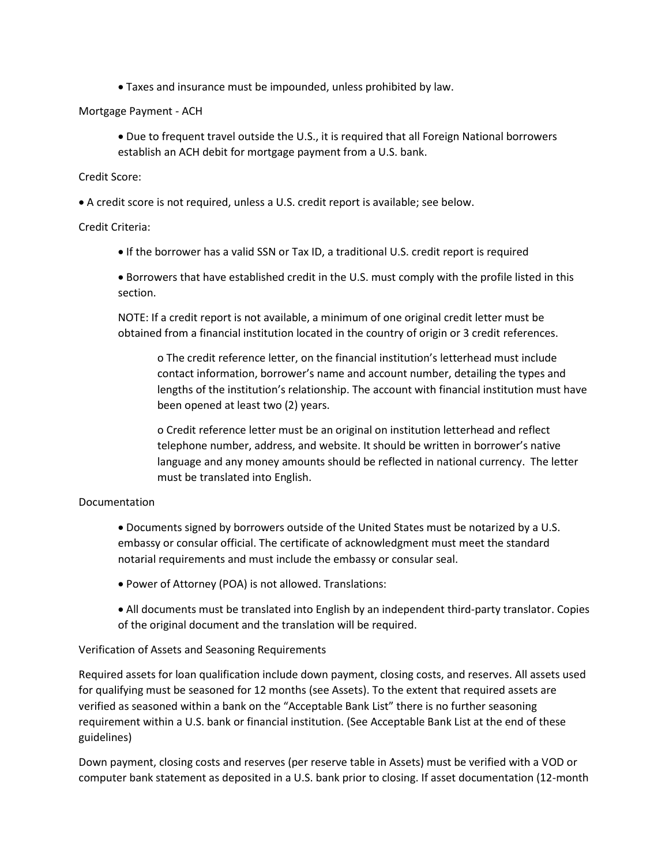• Taxes and insurance must be impounded, unless prohibited by law.

Mortgage Payment - ACH

• Due to frequent travel outside the U.S., it is required that all Foreign National borrowers establish an ACH debit for mortgage payment from a U.S. bank.

Credit Score:

• A credit score is not required, unless a U.S. credit report is available; see below.

Credit Criteria:

• If the borrower has a valid SSN or Tax ID, a traditional U.S. credit report is required

• Borrowers that have established credit in the U.S. must comply with the profile listed in this section.

NOTE: If a credit report is not available, a minimum of one original credit letter must be obtained from a financial institution located in the country of origin or 3 credit references.

o The credit reference letter, on the financial institution's letterhead must include contact information, borrower's name and account number, detailing the types and lengths of the institution's relationship. The account with financial institution must have been opened at least two (2) years.

o Credit reference letter must be an original on institution letterhead and reflect telephone number, address, and website. It should be written in borrower's native language and any money amounts should be reflected in national currency. The letter must be translated into English.

#### Documentation

- Documents signed by borrowers outside of the United States must be notarized by a U.S. embassy or consular official. The certificate of acknowledgment must meet the standard notarial requirements and must include the embassy or consular seal.
- Power of Attorney (POA) is not allowed. Translations:
- All documents must be translated into English by an independent third-party translator. Copies of the original document and the translation will be required.

Verification of Assets and Seasoning Requirements

Required assets for loan qualification include down payment, closing costs, and reserves. All assets used for qualifying must be seasoned for 12 months (see Assets). To the extent that required assets are verified as seasoned within a bank on the "Acceptable Bank List" there is no further seasoning requirement within a U.S. bank or financial institution. (See Acceptable Bank List at the end of these guidelines)

Down payment, closing costs and reserves (per reserve table in Assets) must be verified with a VOD or computer bank statement as deposited in a U.S. bank prior to closing. If asset documentation (12-month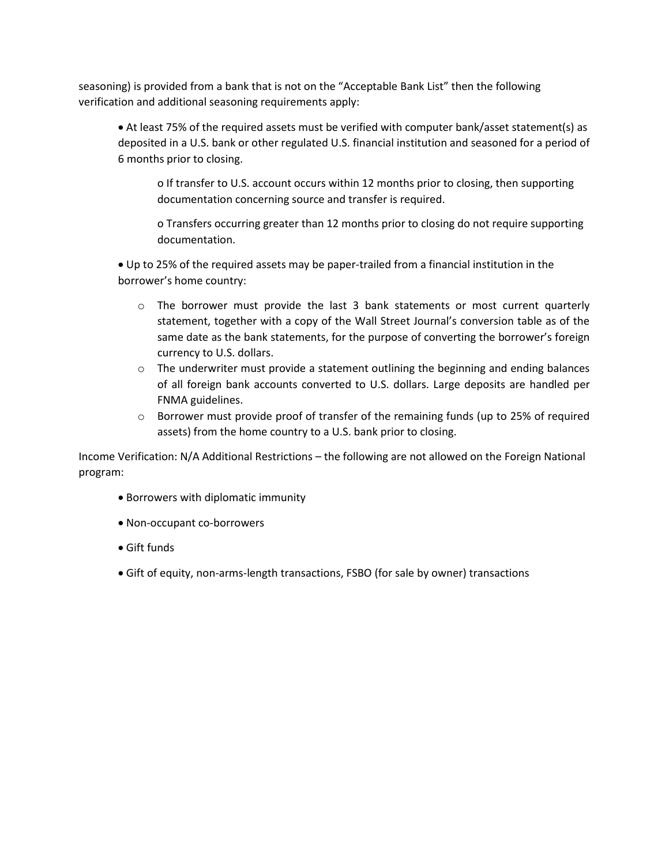seasoning) is provided from a bank that is not on the "Acceptable Bank List" then the following verification and additional seasoning requirements apply:

• At least 75% of the required assets must be verified with computer bank/asset statement(s) as deposited in a U.S. bank or other regulated U.S. financial institution and seasoned for a period of 6 months prior to closing.

o If transfer to U.S. account occurs within 12 months prior to closing, then supporting documentation concerning source and transfer is required.

o Transfers occurring greater than 12 months prior to closing do not require supporting documentation.

• Up to 25% of the required assets may be paper-trailed from a financial institution in the borrower's home country:

- $\circ$  The borrower must provide the last 3 bank statements or most current quarterly statement, together with a copy of the Wall Street Journal's conversion table as of the same date as the bank statements, for the purpose of converting the borrower's foreign currency to U.S. dollars.
- $\circ$  The underwriter must provide a statement outlining the beginning and ending balances of all foreign bank accounts converted to U.S. dollars. Large deposits are handled per FNMA guidelines.
- $\circ$  Borrower must provide proof of transfer of the remaining funds (up to 25% of required assets) from the home country to a U.S. bank prior to closing.

Income Verification: N/A Additional Restrictions – the following are not allowed on the Foreign National program:

- Borrowers with diplomatic immunity
- Non-occupant co-borrowers
- Gift funds
- Gift of equity, non-arms-length transactions, FSBO (for sale by owner) transactions